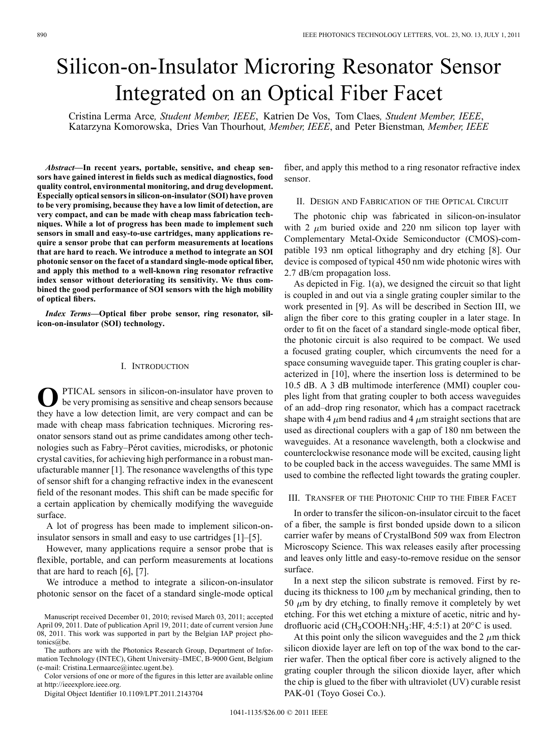# Silicon-on-Insulator Microring Resonator Sensor Integrated on an Optical Fiber Facet

Cristina Lerma Arce*, Student Member, IEEE*, Katrien De Vos, Tom Claes*, Student Member, IEEE*, Katarzyna Komorowska, Dries Van Thourhout*, Member, IEEE*, and Peter Bienstman*, Member, IEEE*

*Abstract—***In recent years, portable, sensitive, and cheap sensors have gained interest in fields such as medical diagnostics, food quality control, environmental monitoring, and drug development. Especially optical sensors in silicon-on-insulator (SOI) have proven to be very promising, because they have a low limit of detection, are very compact, and can be made with cheap mass fabrication techniques. While a lot of progress has been made to implement such sensors in small and easy-to-use cartridges, many applications require a sensor probe that can perform measurements at locations that are hard to reach. We introduce a method to integrate an SOI photonic sensor on the facet of a standard single-mode optical fiber, and apply this method to a well-known ring resonator refractive index sensor without deteriorating its sensitivity. We thus combined the good performance of SOI sensors with the high mobility of optical fibers.**

*Index Terms—***Optical fiber probe sensor, ring resonator, silicon-on-insulator (SOI) technology.**

#### I. INTRODUCTION

O
PTICAL sensors in silicon-on-insulator have proven to<br>be very promising as sensitive and cheap sensors because they have a low detection limit, are very compact and can be made with cheap mass fabrication techniques. Microring resonator sensors stand out as prime candidates among other technologies such as Fabry–Pérot cavities, microdisks, or photonic crystal cavities, for achieving high performance in a robust manufacturable manner [1]. The resonance wavelengths of this type of sensor shift for a changing refractive index in the evanescent field of the resonant modes. This shift can be made specific for a certain application by chemically modifying the waveguide surface.

A lot of progress has been made to implement silicon-oninsulator sensors in small and easy to use cartridges [1]–[5].

However, many applications require a sensor probe that is flexible, portable, and can perform measurements at locations that are hard to reach [6], [7].

We introduce a method to integrate a silicon-on-insulator photonic sensor on the facet of a standard single-mode optical

The authors are with the Photonics Research Group, Department of Information Technology (INTEC), Ghent University–IMEC, B-9000 Gent, Belgium (e-mail: Cristina.Lermaarce@intec.ugent.be).

Color versions of one or more of the figures in this letter are available online at http://ieeexplore.ieee.org.

Digital Object Identifier 10.1109/LPT.2011.2143704

fiber, and apply this method to a ring resonator refractive index sensor.

# II. DESIGN AND FABRICATION OF THE OPTICAL CIRCUIT

The photonic chip was fabricated in silicon-on-insulator with 2  $\mu$ m buried oxide and 220 nm silicon top layer with Complementary Metal-Oxide Semiconductor (CMOS)-compatible 193 nm optical lithography and dry etching [8]. Our device is composed of typical 450 nm wide photonic wires with 2.7 dB/cm propagation loss.

As depicted in Fig. 1(a), we designed the circuit so that light is coupled in and out via a single grating coupler similar to the work presented in [9]. As will be described in Section III, we align the fiber core to this grating coupler in a later stage. In order to fit on the facet of a standard single-mode optical fiber, the photonic circuit is also required to be compact. We used a focused grating coupler, which circumvents the need for a space consuming waveguide taper. This grating coupler is characterized in [10], where the insertion loss is determined to be 10.5 dB. A 3 dB multimode interference (MMI) coupler couples light from that grating coupler to both access waveguides of an add–drop ring resonator, which has a compact racetrack shape with 4  $\mu$ m bend radius and 4  $\mu$ m straight sections that are used as directional couplers with a gap of 180 nm between the waveguides. At a resonance wavelength, both a clockwise and counterclockwise resonance mode will be excited, causing light to be coupled back in the access waveguides. The same MMI is used to combine the reflected light towards the grating coupler.

# III. TRANSFER OF THE PHOTONIC CHIP TO THE FIBER FACET

In order to transfer the silicon-on-insulator circuit to the facet of a fiber, the sample is first bonded upside down to a silicon carrier wafer by means of CrystalBond 509 wax from Electron Microscopy Science. This wax releases easily after processing and leaves only little and easy-to-remove residue on the sensor surface.

In a next step the silicon substrate is removed. First by reducing its thickness to 100  $\mu$ m by mechanical grinding, then to 50  $\mu$ m by dry etching, to finally remove it completely by wet etching. For this wet etching a mixture of acetic, nitric and hydrofluoric acid (CH<sub>3</sub>COOH:NH<sub>3</sub>:HF, 4:5:1) at  $20^{\circ}$ C is used.

At this point only the silicon waveguides and the 2  $\mu$ m thick silicon dioxide layer are left on top of the wax bond to the carrier wafer. Then the optical fiber core is actively aligned to the grating coupler through the silicon dioxide layer, after which the chip is glued to the fiber with ultraviolet (UV) curable resist PAK-01 (Toyo Gosei Co.).

Manuscript received December 01, 2010; revised March 03, 2011; accepted April 09, 2011. Date of publication April 19, 2011; date of current version June 08, 2011. This work was supported in part by the Belgian IAP project photonics@be.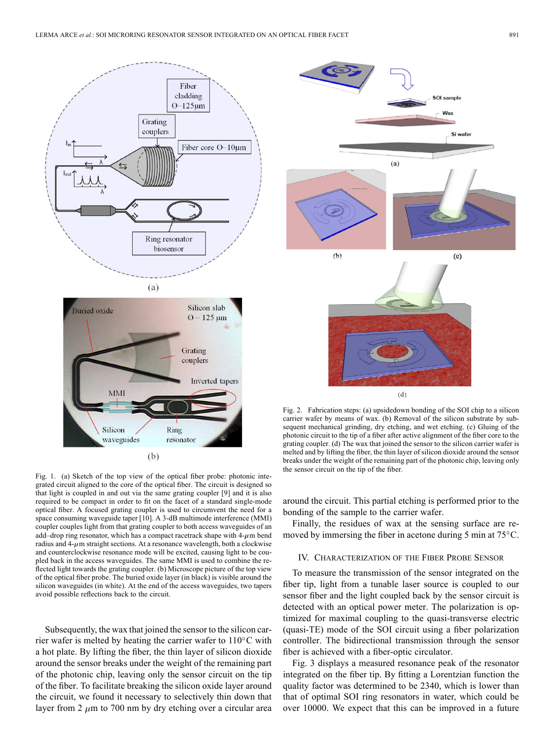

Fig. 1. (a) Sketch of the top view of the optical fiber probe: photonic integrated circuit aligned to the core of the optical fiber. The circuit is designed so that light is coupled in and out via the same grating coupler [9] and it is also required to be compact in order to fit on the facet of a standard single-mode optical fiber. A focused grating coupler is used to circumvent the need for a space consuming waveguide taper [10]. A 3-dB multimode interference (MMI) coupler couples light from that grating coupler to both access waveguides of an add–drop ring resonator, which has a compact racetrack shape with  $4-\mu$ m bend radius and  $4-\mu$ m straight sections. At a resonance wavelength, both a clockwise and counterclockwise resonance mode will be excited, causing light to be coupled back in the access waveguides. The same MMI is used to combine the reflected light towards the grating coupler. (b) Microscope picture of the top view of the optical fiber probe. The buried oxide layer (in black) is visible around the silicon waveguides (in white). At the end of the access waveguides, two tapers avoid possible reflections back to the circuit.

Subsequently, the wax that joined the sensor to the silicon carrier wafer is melted by heating the carrier wafer to  $110^{\circ}$ C with a hot plate. By lifting the fiber, the thin layer of silicon dioxide around the sensor breaks under the weight of the remaining part of the photonic chip, leaving only the sensor circuit on the tip of the fiber. To facilitate breaking the silicon oxide layer around the circuit, we found it necessary to selectively thin down that layer from 2  $\mu$ m to 700 nm by dry etching over a circular area



Fig. 2. Fabrication steps: (a) upsidedown bonding of the SOI chip to a silicon carrier wafer by means of wax. (b) Removal of the silicon substrate by subsequent mechanical grinding, dry etching, and wet etching. (c) Gluing of the photonic circuit to the tip of a fiber after active alignment of the fiber core to the grating coupler. (d) The wax that joined the sensor to the silicon carrier wafer is melted and by lifting the fiber, the thin layer of silicon dioxide around the sensor breaks under the weight of the remaining part of the photonic chip, leaving only the sensor circuit on the tip of the fiber.

around the circuit. This partial etching is performed prior to the bonding of the sample to the carrier wafer.

Finally, the residues of wax at the sensing surface are removed by immersing the fiber in acetone during 5 min at  $75^{\circ}$ C.

### IV. CHARACTERIZATION OF THE FIBER PROBE SENSOR

To measure the transmission of the sensor integrated on the fiber tip, light from a tunable laser source is coupled to our sensor fiber and the light coupled back by the sensor circuit is detected with an optical power meter. The polarization is optimized for maximal coupling to the quasi-transverse electric (quasi-TE) mode of the SOI circuit using a fiber polarization controller. The bidirectional transmission through the sensor fiber is achieved with a fiber-optic circulator.

Fig. 3 displays a measured resonance peak of the resonator integrated on the fiber tip. By fitting a Lorentzian function the quality factor was determined to be 2340, which is lower than that of optimal SOI ring resonators in water, which could be over 10000. We expect that this can be improved in a future